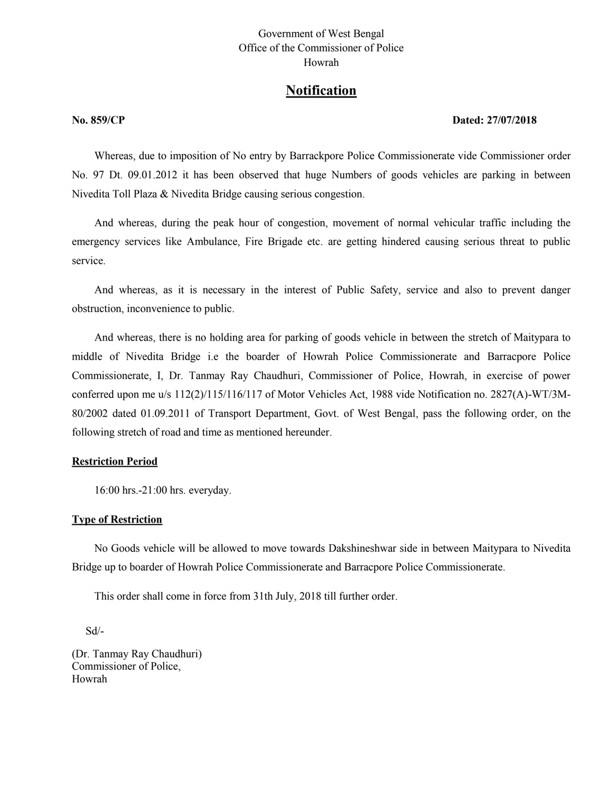## Government of West Bengal Office of the Commissioner of Police Howrah

# **Notification**

#### **No. 859/CP** Dated: 27/07/2018

Whereas, due to imposition of No entry by Barrackpore Police Commissionerate vide Commissioner order No. 97 Dt. 09.01.2012 it has been observed that huge Numbers of goods vehicles are parking in between Nivedita Toll Plaza & Nivedita Bridge causing serious congestion.

And whereas, during the peak hour of congestion, movement of normal vehicular traffic including the emergency services like Ambulance, Fire Brigade etc. are getting hindered causing serious threat to public service.

And whereas, as it is necessary in the interest of Public Safety, service and also to prevent danger obstruction, inconvenience to public.

And whereas, there is no holding area for parking of goods vehicle in between the stretch of Maitypara to middle of Nivedita Bridge i.e the boarder of Howrah Police Commissionerate and Barracpore Police Commissionerate, I, Dr. Tanmay Ray Chaudhuri, Commissioner of Police, Howrah, in exercise of power conferred upon me u/s 112(2)/115/116/117 of Motor Vehicles Act, 1988 vide Notification no. 2827(A)-WT/3M-80/2002 dated 01.09.2011 of Transport Department, Govt. of West Bengal, pass the following order, on the following stretch of road and time as mentioned hereunder.

#### **Restriction Period**

16:00 hrs.-21:00 hrs. everyday.

#### **Type of Restriction**

No Goods vehicle will be allowed to move towards Dakshineshwar side in between Maitypara to Nivedita Bridge up to boarder of Howrah Police Commissionerate and Barracpore Police Commissionerate.

This order shall come in force from 31th July, 2018 till further order.

Sd/-

(Dr. Tanmay Ray Chaudhuri) Commissioner of Police, Howrah